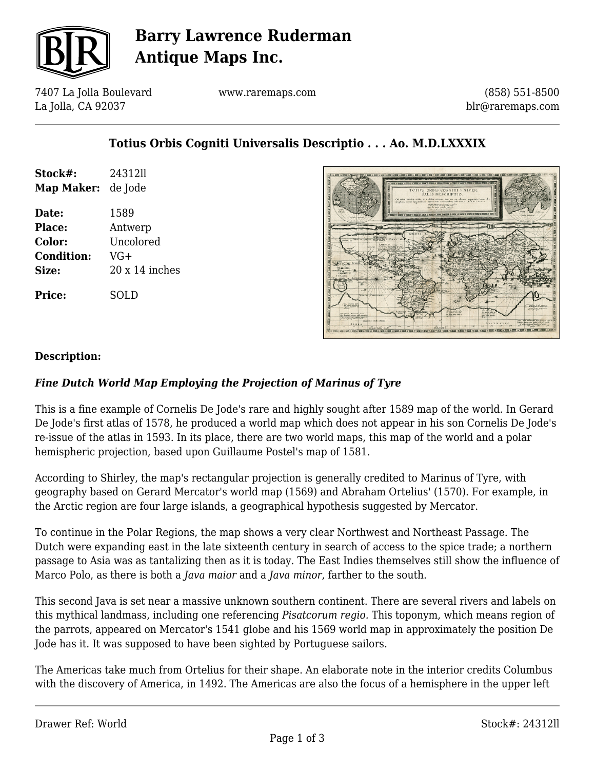

## **Barry Lawrence Ruderman Antique Maps Inc.**

7407 La Jolla Boulevard La Jolla, CA 92037

www.raremaps.com

(858) 551-8500 blr@raremaps.com

### **Totius Orbis Cogniti Universalis Descriptio . . . Ao. M.D.LXXXIX**

| Stock#:           | 2431211               |
|-------------------|-----------------------|
| Map Maker:        | de Jode               |
| Date:             | 1589                  |
| Place:            | Antwerp               |
| Color:            | Uncolored             |
| <b>Condition:</b> | VG+                   |
| Size:             | $20 \times 14$ inches |
| Price:            | SOLD                  |



#### **Description:**

### *Fine Dutch World Map Employing the Projection of Marinus of Tyre*

This is a fine example of Cornelis De Jode's rare and highly sought after 1589 map of the world. In Gerard De Jode's first atlas of 1578, he produced a world map which does not appear in his son Cornelis De Jode's re-issue of the atlas in 1593. In its place, there are two world maps, this map of the world and a polar hemispheric projection, based upon Guillaume Postel's map of 1581.

According to Shirley, the map's rectangular projection is generally credited to Marinus of Tyre, with geography based on Gerard Mercator's world map (1569) and Abraham Ortelius' (1570). For example, in the Arctic region are four large islands, a geographical hypothesis suggested by Mercator.

To continue in the Polar Regions, the map shows a very clear Northwest and Northeast Passage. The Dutch were expanding east in the late sixteenth century in search of access to the spice trade; a northern passage to Asia was as tantalizing then as it is today. The East Indies themselves still show the influence of Marco Polo, as there is both a *Java maior* and a *Java minor*, farther to the south.

This second Java is set near a massive unknown southern continent. There are several rivers and labels on this mythical landmass, including one referencing *Pisatcorum regio.* This toponym, which means region of the parrots, appeared on Mercator's 1541 globe and his 1569 world map in approximately the position De Jode has it. It was supposed to have been sighted by Portuguese sailors.

The Americas take much from Ortelius for their shape. An elaborate note in the interior credits Columbus with the discovery of America, in 1492. The Americas are also the focus of a hemisphere in the upper left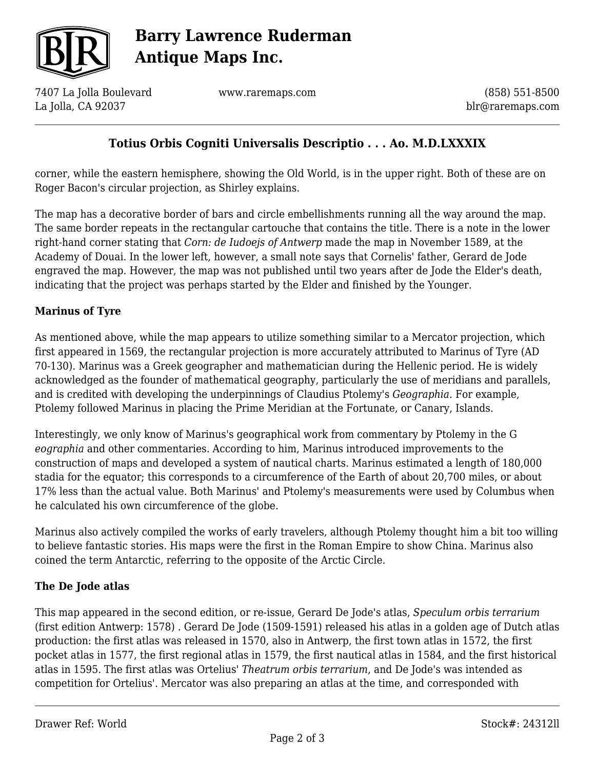

# **Barry Lawrence Ruderman Antique Maps Inc.**

7407 La Jolla Boulevard La Jolla, CA 92037

www.raremaps.com

(858) 551-8500 blr@raremaps.com

## **Totius Orbis Cogniti Universalis Descriptio . . . Ao. M.D.LXXXIX**

corner, while the eastern hemisphere, showing the Old World, is in the upper right. Both of these are on Roger Bacon's circular projection, as Shirley explains.

The map has a decorative border of bars and circle embellishments running all the way around the map. The same border repeats in the rectangular cartouche that contains the title. There is a note in the lower right-hand corner stating that *Corn: de Iudoejs of Antwerp* made the map in November 1589, at the Academy of Douai. In the lower left, however, a small note says that Cornelis' father, Gerard de Jode engraved the map. However, the map was not published until two years after de Jode the Elder's death, indicating that the project was perhaps started by the Elder and finished by the Younger.

### **Marinus of Tyre**

As mentioned above, while the map appears to utilize something similar to a Mercator projection, which first appeared in 1569, the rectangular projection is more accurately attributed to Marinus of Tyre (AD 70-130). Marinus was a Greek geographer and mathematician during the Hellenic period. He is widely acknowledged as the founder of mathematical geography, particularly the use of meridians and parallels, and is credited with developing the underpinnings of Claudius Ptolemy's *Geographia*. For example, Ptolemy followed Marinus in placing the Prime Meridian at the Fortunate, or Canary, Islands.

Interestingly, we only know of Marinus's geographical work from commentary by Ptolemy in the G *eographia* and other commentaries. According to him, Marinus introduced improvements to the construction of maps and developed a system of nautical charts. Marinus estimated a length of 180,000 stadia for the equator; this corresponds to a circumference of the Earth of about 20,700 miles, or about 17% less than the actual value. Both Marinus' and Ptolemy's measurements were used by Columbus when he calculated his own circumference of the globe.

Marinus also actively compiled the works of early travelers, although Ptolemy thought him a bit too willing to believe fantastic stories. His maps were the first in the Roman Empire to show China. Marinus also coined the term Antarctic, referring to the opposite of the Arctic Circle.

### **The De Jode atlas**

This map appeared in the second edition, or re-issue, Gerard De Jode's atlas, *Speculum orbis terrarium* (first edition Antwerp: 1578) *.* Gerard De Jode (1509-1591) released his atlas in a golden age of Dutch atlas production: the first atlas was released in 1570, also in Antwerp, the first town atlas in 1572, the first pocket atlas in 1577, the first regional atlas in 1579, the first nautical atlas in 1584, and the first historical atlas in 1595. The first atlas was Ortelius' *Theatrum orbis terrarium*, and De Jode's was intended as competition for Ortelius'. Mercator was also preparing an atlas at the time, and corresponded with